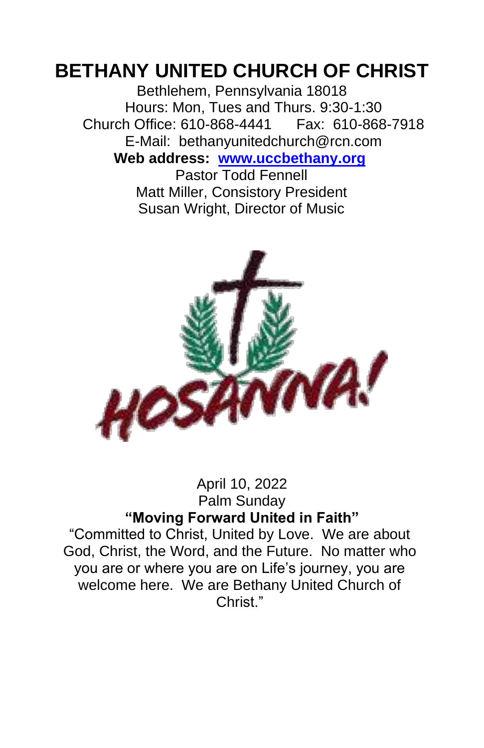# **BETHANY UNITED CHURCH OF CHRIST**

Bethlehem, Pennsylvania 18018 Hours: Mon, Tues and Thurs. 9:30-1:30 Church Office: 610-868-4441 Fax: 610-868-7918 E-Mail: bethanyunitedchurch@rcn.com **Web address: www.uccbethany.org**

Pastor Todd Fennell Matt Miller, Consistory President Susan Wright, Director of Music



#### April 10, 2022 Palm Sunday **"Moving Forward United in Faith"**

"Committed to Christ, United by Love. We are about God, Christ, the Word, and the Future. No matter who you are or where you are on Life's journey, you are welcome here. We are Bethany United Church of Christ<sup>"</sup>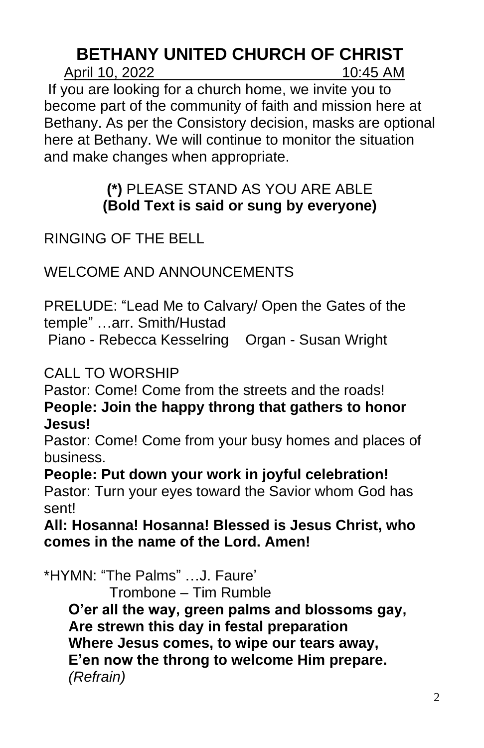# **BETHANY UNITED CHURCH OF CHRIST**

April 10, 2022 10:45 AM

If you are looking for a church home, we invite you to become part of the community of faith and mission here at Bethany. As per the Consistory decision, masks are optional here at Bethany. We will continue to monitor the situation and make changes when appropriate.

### **(\*)** PLEASE STAND AS YOU ARE ABLE **(Bold Text is said or sung by everyone)**

RINGING OF THE BELL

WELCOME AND ANNOUNCEMENTS

PRELUDE: "Lead Me to Calvary/ Open the Gates of the temple" …arr. Smith/Hustad

Piano - Rebecca Kesselring Organ - Susan Wright

CALL TO WORSHIP

Pastor: Come! Come from the streets and the roads! **People: Join the happy throng that gathers to honor Jesus!**

Pastor: Come! Come from your busy homes and places of business.

**People: Put down your work in joyful celebration!** Pastor: Turn your eyes toward the Savior whom God has sent!

**All: Hosanna! Hosanna! Blessed is Jesus Christ, who comes in the name of the Lord. Amen!**

\*HYMN: "The Palms" …J. Faure'

Trombone – Tim Rumble

**O'er all the way, green palms and blossoms gay, Are strewn this day in festal preparation Where Jesus comes, to wipe our tears away, E'en now the throng to welcome Him prepare.**  *(Refrain)*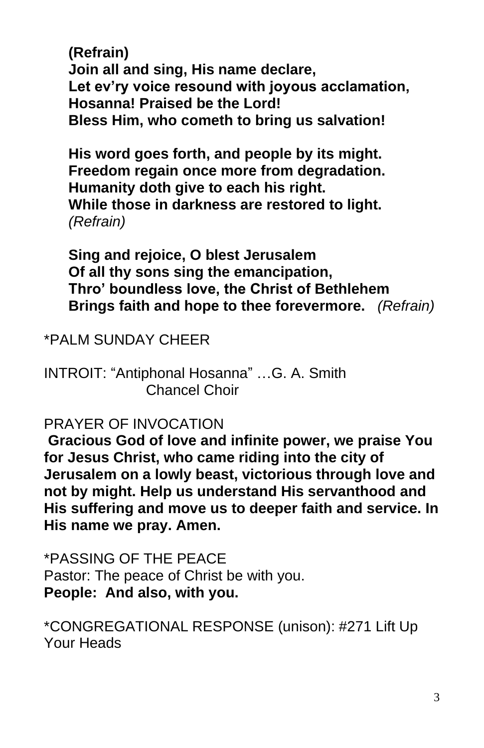**(Refrain) Join all and sing, His name declare, Let ev'ry voice resound with joyous acclamation, Hosanna! Praised be the Lord! Bless Him, who cometh to bring us salvation!**

**His word goes forth, and people by its might. Freedom regain once more from degradation. Humanity doth give to each his right. While those in darkness are restored to light.**  *(Refrain)*

**Sing and rejoice, O blest Jerusalem Of all thy sons sing the emancipation, Thro' boundless love, the Christ of Bethlehem Brings faith and hope to thee forevermore.** *(Refrain)*

\*PALM SUNDAY CHEER

INTROIT: "Antiphonal Hosanna" …G. A. Smith Chancel Choir

#### PRAYER OF INVOCATION

**Gracious God of love and infinite power, we praise You for Jesus Christ, who came riding into the city of Jerusalem on a lowly beast, victorious through love and not by might. Help us understand His servanthood and His suffering and move us to deeper faith and service. In His name we pray. Amen.** 

\*PASSING OF THE PEACE Pastor: The peace of Christ be with you. **People: And also, with you.**

\*CONGREGATIONAL RESPONSE (unison): #271 Lift Up Your Heads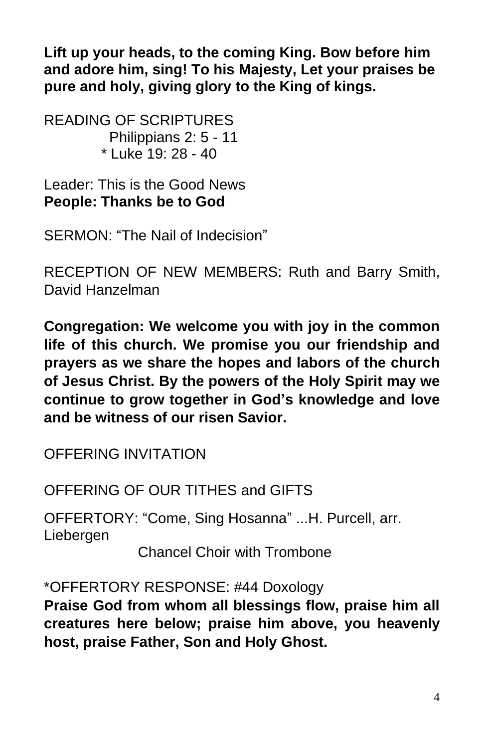**Lift up your heads, to the coming King. Bow before him and adore him, sing! To his Majesty, Let your praises be pure and holy, giving glory to the King of kings.**

READING OF SCRIPTURES Philippians 2: 5 - 11 \* Luke 19: 28 - 40

Leader: This is the Good News **People: Thanks be to God**

SERMON: "The Nail of Indecision"

RECEPTION OF NEW MEMBERS: Ruth and Barry Smith, David Hanzelman

**Congregation: We welcome you with joy in the common life of this church. We promise you our friendship and prayers as we share the hopes and labors of the church of Jesus Christ. By the powers of the Holy Spirit may we continue to grow together in God's knowledge and love and be witness of our risen Savior.**

OFFERING INVITATION

OFFERING OF OUR TITHES and GIFTS

OFFERTORY: "Come, Sing Hosanna" ...H. Purcell, arr. Liebergen

Chancel Choir with Trombone

\*OFFERTORY RESPONSE: #44 Doxology **Praise God from whom all blessings flow, praise him all creatures here below; praise him above, you heavenly host, praise Father, Son and Holy Ghost.**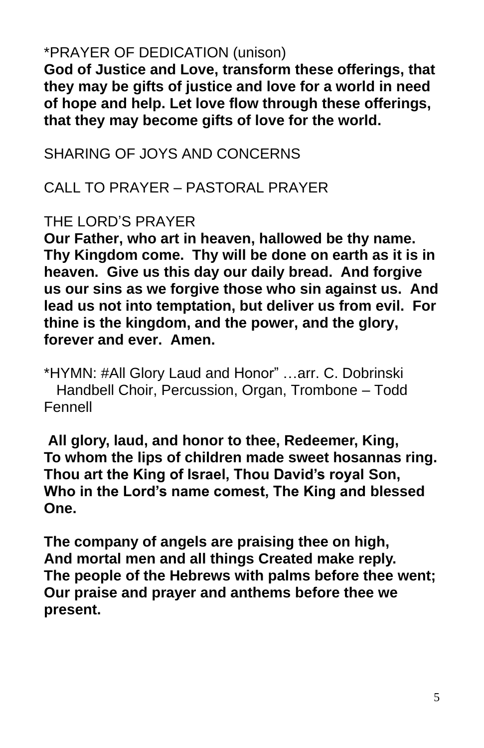### \*PRAYER OF DEDICATION (unison)

**God of Justice and Love, transform these offerings, that they may be gifts of justice and love for a world in need of hope and help. Let love flow through these offerings, that they may become gifts of love for the world.**

SHARING OF JOYS AND CONCERNS

CALL TO PRAYER – PASTORAL PRAYER

### THE LORD'S PRAYER

**Our Father, who art in heaven, hallowed be thy name. Thy Kingdom come. Thy will be done on earth as it is in heaven. Give us this day our daily bread. And forgive us our sins as we forgive those who sin against us. And lead us not into temptation, but deliver us from evil. For thine is the kingdom, and the power, and the glory, forever and ever. Amen.**

\*HYMN: #All Glory Laud and Honor" …arr. C. Dobrinski Handbell Choir, Percussion, Organ, Trombone – Todd Fennell

**All glory, laud, and honor to thee, Redeemer, King, To whom the lips of children made sweet hosannas ring. Thou art the King of Israel, Thou David's royal Son, Who in the Lord's name comest, The King and blessed One.**

**The company of angels are praising thee on high, And mortal men and all things Created make reply. The people of the Hebrews with palms before thee went; Our praise and prayer and anthems before thee we present.**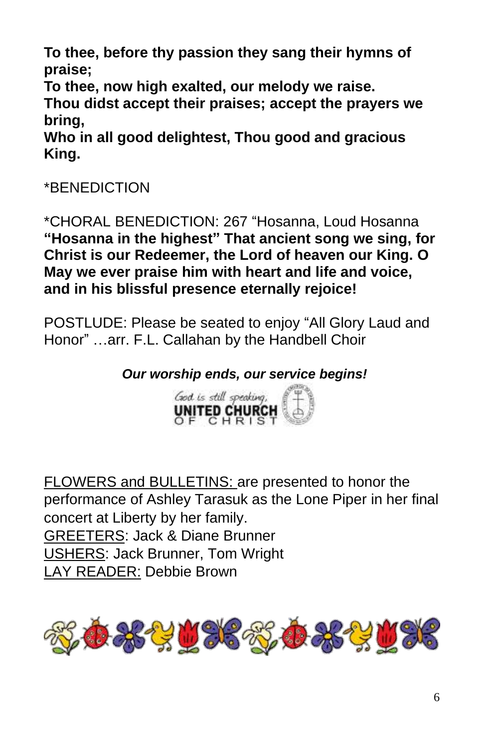**To thee, before thy passion they sang their hymns of praise;**

**To thee, now high exalted, our melody we raise.**

**Thou didst accept their praises; accept the prayers we bring,**

**Who in all good delightest, Thou good and gracious King.**

# \*BENEDICTION

\*CHORAL BENEDICTION: 267 "Hosanna, Loud Hosanna **"Hosanna in the highest" That ancient song we sing, for Christ is our Redeemer, the Lord of heaven our King. O May we ever praise him with heart and life and voice, and in his blissful presence eternally rejoice!**

POSTLUDE: Please be seated to enjoy "All Glory Laud and Honor" …arr. F.L. Callahan by the Handbell Choir

*Our worship ends, our service begins!*



FLOWERS and BULLETINS: are presented to honor the performance of Ashley Tarasuk as the Lone Piper in her final concert at Liberty by her family. GREETERS: Jack & Diane Brunner USHERS: Jack Brunner, Tom Wright LAY READER: Debbie Brown

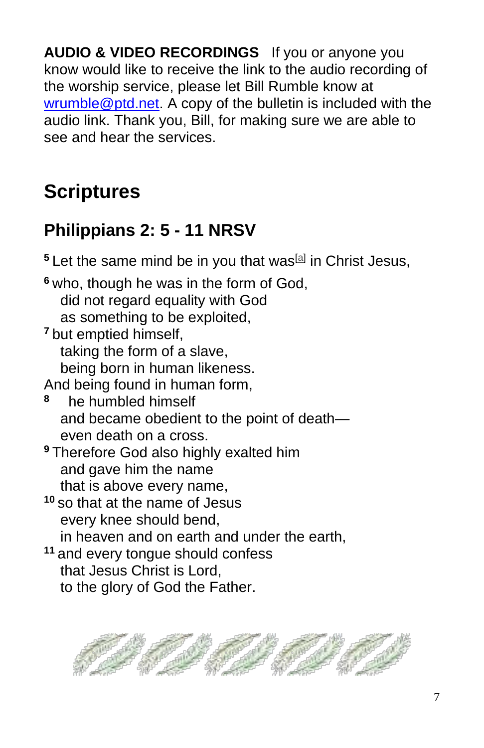**AUDIO & VIDEO RECORDINGS** If you or anyone you know would like to receive the link to the audio recording of the worship service, please let Bill Rumble know at wrumble@ptd.net. A copy of the bulletin is included with the audio link. Thank you, Bill, for making sure we are able to see and hear the services.

# **Scriptures**

# **Philippians 2: 5 - 11 NRSV**

<sup>5</sup> Let the same mind be in you that was<sup>[a]</sup> in Christ Jesus, **<sup>6</sup>** who, though he was in the form of God, did not regard equality with God as something to be exploited, **<sup>7</sup>** but emptied himself, taking the form of a slave, being born in human likeness. And being found in human form, **8** he humbled himself and became obedient to the point of death even death on a cross. **<sup>9</sup>** Therefore God also highly exalted him and gave him the name that is above every name, **<sup>10</sup>** so that at the name of Jesus every knee should bend, in heaven and on earth and under the earth, **<sup>11</sup>** and every tongue should confess that Jesus Christ is Lord, to the glory of God the Father.

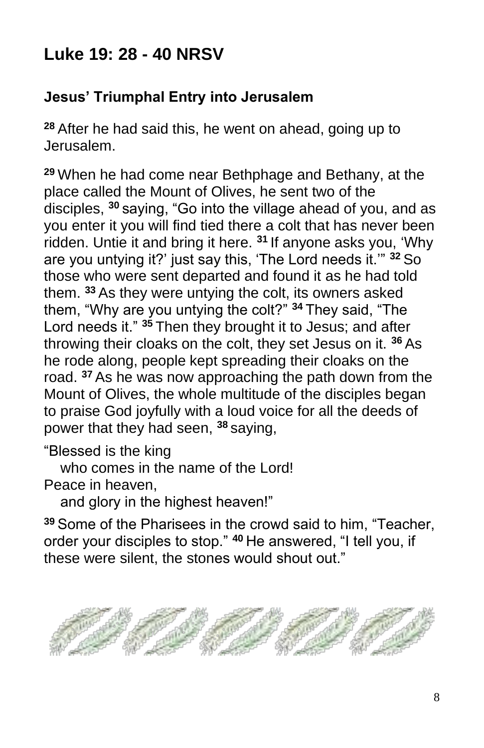# **Luke 19: 28 - 40 NRSV**

# **Jesus' Triumphal Entry into Jerusalem**

**<sup>28</sup>** After he had said this, he went on ahead, going up to Jerusalem.

**<sup>29</sup>** When he had come near Bethphage and Bethany, at the place called the Mount of Olives, he sent two of the disciples, **<sup>30</sup>** saying, "Go into the village ahead of you, and as you enter it you will find tied there a colt that has never been ridden. Untie it and bring it here. **<sup>31</sup>** If anyone asks you, 'Why are you untying it?' just say this, 'The Lord needs it.'" **<sup>32</sup>** So those who were sent departed and found it as he had told them. **<sup>33</sup>** As they were untying the colt, its owners asked them, "Why are you untying the colt?" **<sup>34</sup>** They said, "The Lord needs it." **<sup>35</sup>** Then they brought it to Jesus; and after throwing their cloaks on the colt, they set Jesus on it. **<sup>36</sup>** As he rode along, people kept spreading their cloaks on the road. **<sup>37</sup>** As he was now approaching the path down from the Mount of Olives, the whole multitude of the disciples began to praise God joyfully with a loud voice for all the deeds of power that they had seen, **<sup>38</sup>** saying,

"Blessed is the king

who comes in the name of the Lord!

Peace in heaven,

and glory in the highest heaven!"

**<sup>39</sup>** Some of the Pharisees in the crowd said to him, "Teacher, order your disciples to stop." **<sup>40</sup>** He answered, "I tell you, if these were silent, the stones would shout out."

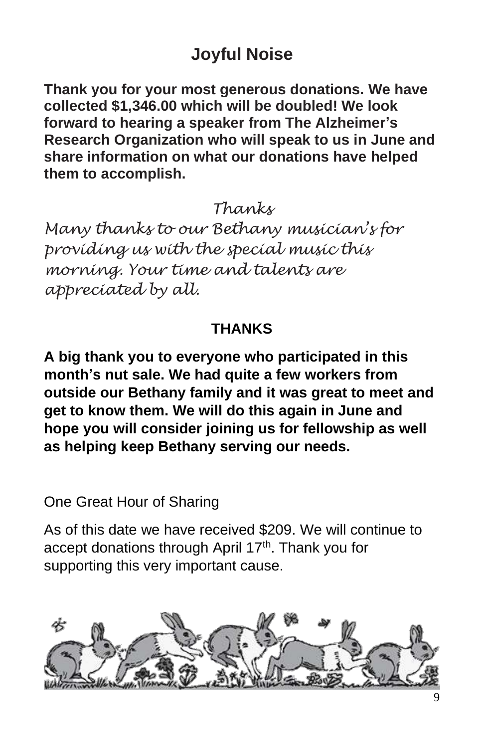# **Joyful Noise**

**Thank you for your most generous donations. We have collected \$1,346.00 which will be doubled! We look forward to hearing a speaker from The Alzheimer's Research Organization who will speak to us in June and share information on what our donations have helped them to accomplish.**

*Thanks*

*Many thanks to our Bethany musician's for providing us with the special music this morning. Your time and talents are appreciated by all.*

### **THANKS**

**A big thank you to everyone who participated in this month's nut sale. We had quite a few workers from outside our Bethany family and it was great to meet and get to know them. We will do this again in June and hope you will consider joining us for fellowship as well as helping keep Bethany serving our needs.**

One Great Hour of Sharing

As of this date we have received \$209. We will continue to accept donations through April 17<sup>th</sup>. Thank you for supporting this very important cause.

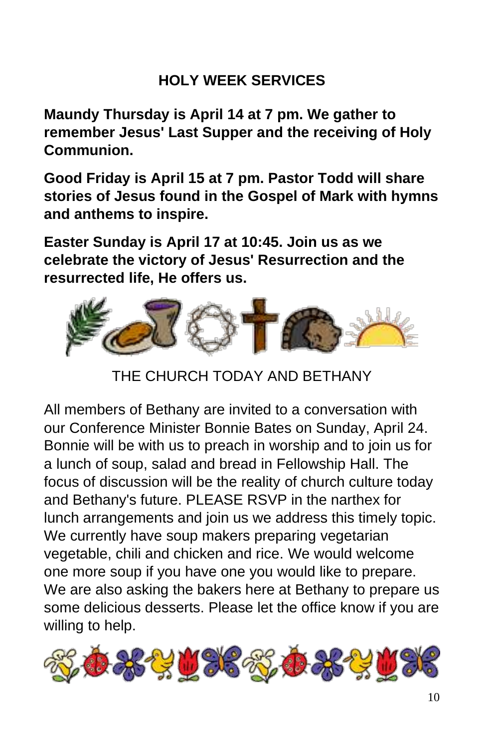# **HOLY WEEK SERVICES**

**Maundy Thursday is April 14 at 7 pm. We gather to remember Jesus' Last Supper and the receiving of Holy Communion.**

**Good Friday is April 15 at 7 pm. Pastor Todd will share stories of Jesus found in the Gospel of Mark with hymns and anthems to inspire.**

**Easter Sunday is April 17 at 10:45. Join us as we celebrate the victory of Jesus' Resurrection and the resurrected life, He offers us.**



THE CHURCH TODAY AND BETHANY

All members of Bethany are invited to a conversation with our Conference Minister Bonnie Bates on Sunday, April 24. Bonnie will be with us to preach in worship and to join us for a lunch of soup, salad and bread in Fellowship Hall. The focus of discussion will be the reality of church culture today and Bethany's future. PLEASE RSVP in the narthex for lunch arrangements and join us we address this timely topic. We currently have soup makers preparing vegetarian vegetable, chili and chicken and rice. We would welcome one more soup if you have one you would like to prepare. We are also asking the bakers here at Bethany to prepare us some delicious desserts. Please let the office know if you are willing to help.

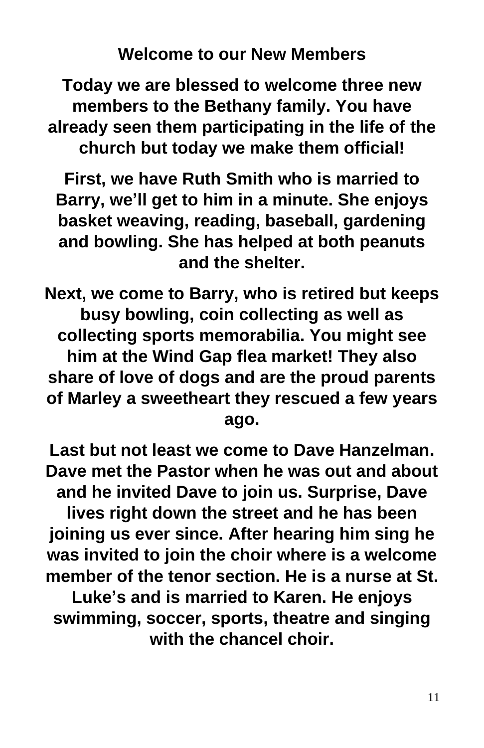**Welcome to our New Members**

**Today we are blessed to welcome three new members to the Bethany family. You have already seen them participating in the life of the church but today we make them official!**

**First, we have Ruth Smith who is married to Barry, we'll get to him in a minute. She enjoys basket weaving, reading, baseball, gardening and bowling. She has helped at both peanuts and the shelter.**

**Next, we come to Barry, who is retired but keeps busy bowling, coin collecting as well as collecting sports memorabilia. You might see him at the Wind Gap flea market! They also share of love of dogs and are the proud parents of Marley a sweetheart they rescued a few years ago.** 

**Last but not least we come to Dave Hanzelman. Dave met the Pastor when he was out and about and he invited Dave to join us. Surprise, Dave lives right down the street and he has been joining us ever since. After hearing him sing he was invited to join the choir where is a welcome member of the tenor section. He is a nurse at St. Luke's and is married to Karen. He enjoys swimming, soccer, sports, theatre and singing** 

**with the chancel choir.**